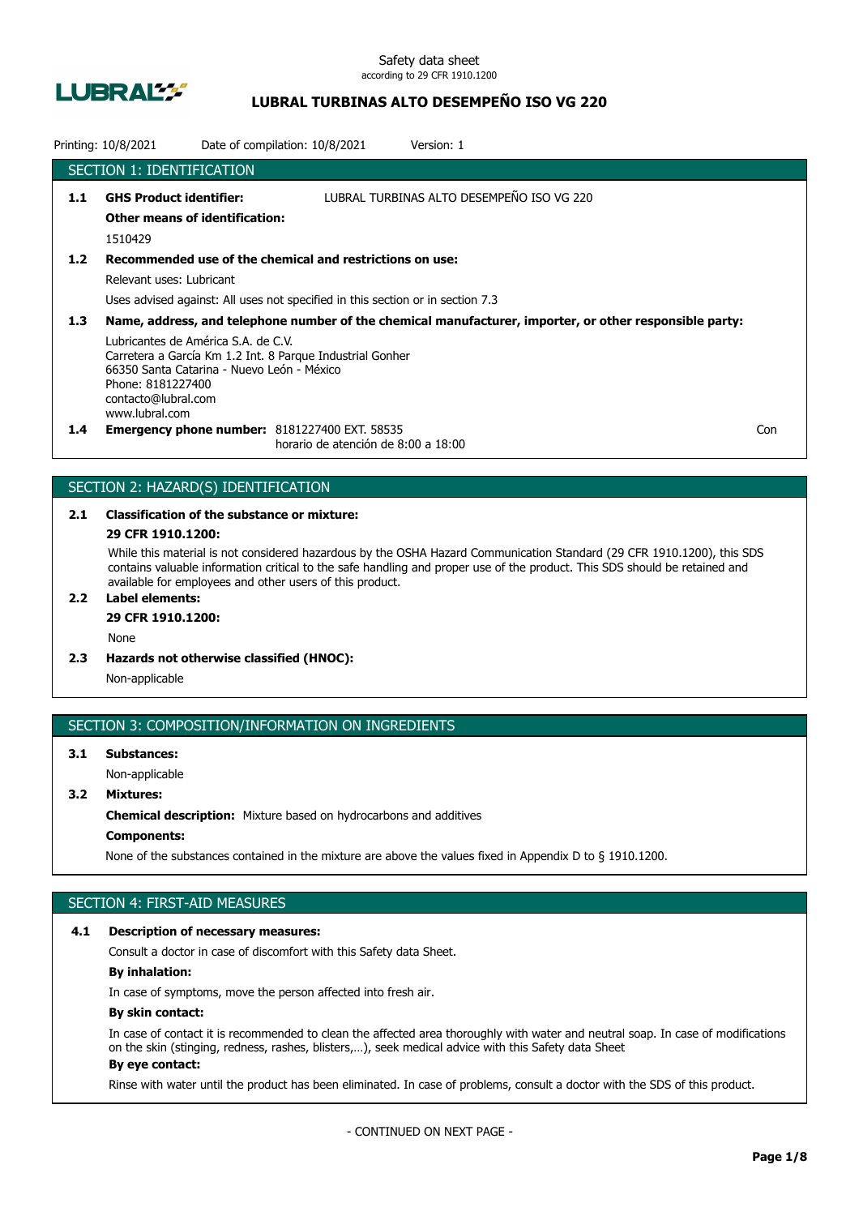

## **LUBRAL TURBINAS ALTO DESEMPEÑO ISO VG 220**

|               | Printing: 10/8/2021                                                                                                                             | Date of compilation: 10/8/2021                                                              | Version: 1                                                                                              |     |
|---------------|-------------------------------------------------------------------------------------------------------------------------------------------------|---------------------------------------------------------------------------------------------|---------------------------------------------------------------------------------------------------------|-----|
|               | <b>SECTION 1: IDENTIFICATION</b>                                                                                                                |                                                                                             |                                                                                                         |     |
| 1.1           | <b>GHS Product identifier:</b><br><b>Other means of identification:</b>                                                                         |                                                                                             | LUBRAL TURBINAS ALTO DESEMPEÑO ISO VG 220                                                               |     |
|               | 1510429                                                                                                                                         |                                                                                             |                                                                                                         |     |
| $1.2$         |                                                                                                                                                 | Recommended use of the chemical and restrictions on use:                                    |                                                                                                         |     |
|               | Relevant uses: Lubricant                                                                                                                        |                                                                                             |                                                                                                         |     |
|               |                                                                                                                                                 | Uses advised against: All uses not specified in this section or in section 7.3              |                                                                                                         |     |
| 1.3           |                                                                                                                                                 |                                                                                             | Name, address, and telephone number of the chemical manufacturer, importer, or other responsible party: |     |
|               | Lubricantes de América S.A. de C.V.<br>66350 Santa Catarina - Nuevo León - México<br>Phone: 8181227400<br>contacto@lubral.com<br>www.lubral.com | Carretera a García Km 1.2 Int. 8 Parque Industrial Gonher                                   |                                                                                                         |     |
| $1.4^{\circ}$ |                                                                                                                                                 | <b>Emergency phone number: 8181227400 EXT. 58535</b><br>horario de atención de 8:00 a 18:00 |                                                                                                         | Con |

## SECTION 2: HAZARD(S) IDENTIFICATION

# **2.1 Classification of the substance or mixture:**

## **29 CFR 1910.1200:**

While this material is not considered hazardous by the OSHA Hazard Communication Standard (29 CFR 1910.1200), this SDS contains valuable information critical to the safe handling and proper use of the product. This SDS should be retained and available for employees and other users of this product.

## **2.2 Label elements:**

## **29 CFR 1910.1200:**

None

**2.3 Hazards not otherwise classified (HNOC):**

Non-applicable

## SECTION 3: COMPOSITION/INFORMATION ON INGREDIENTS

## **3.1 Substances:** Non-applicable

**3.2 Mixtures:**

**Chemical description:** Mixture based on hydrocarbons and additives

## **Components:**

None of the substances contained in the mixture are above the values fixed in Appendix D to § 1910.1200.

## SECTION 4: FIRST-AID MEASURES

### **4.1 Description of necessary measures:**

Consult a doctor in case of discomfort with this Safety data Sheet.

## **By inhalation:**

In case of symptoms, move the person affected into fresh air.

### **By skin contact:**

In case of contact it is recommended to clean the affected area thoroughly with water and neutral soap. In case of modifications on the skin (stinging, redness, rashes, blisters,…), seek medical advice with this Safety data Sheet **By eye contact:**

### Rinse with water until the product has been eliminated. In case of problems, consult a doctor with the SDS of this product.

- CONTINUED ON NEXT PAGE -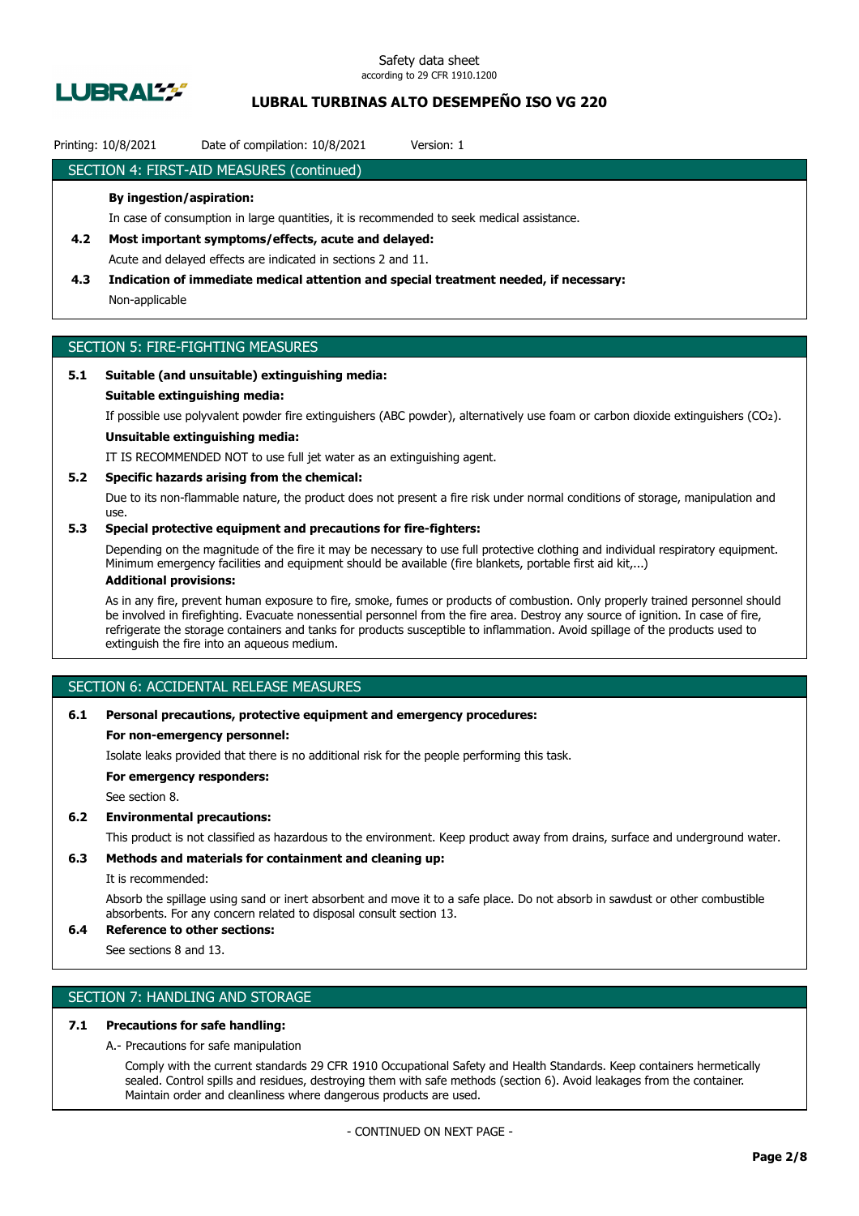

## **LUBRAL TURBINAS ALTO DESEMPEÑO ISO VG 220**

## Printing: 10/8/2021 Date of compilation: 10/8/2021 Version: 1

## SECTION 4: FIRST-AID MEASURES (continued)

### **By ingestion/aspiration:**

In case of consumption in large quantities, it is recommended to seek medical assistance.

- **4.2 Most important symptoms/effects, acute and delayed:** Acute and delayed effects are indicated in sections 2 and 11.
- **4.3 Indication of immediate medical attention and special treatment needed, if necessary:** Non-applicable

## SECTION 5: FIRE-FIGHTING MEASURES

## **5.1 Suitable (and unsuitable) extinguishing media:**

### **Suitable extinguishing media:**

If possible use polyvalent powder fire extinguishers (ABC powder), alternatively use foam or carbon dioxide extinguishers (CO₂).

## **Unsuitable extinguishing media:**

IT IS RECOMMENDED NOT to use full jet water as an extinguishing agent.

### **5.2 Specific hazards arising from the chemical:**

Due to its non-flammable nature, the product does not present a fire risk under normal conditions of storage, manipulation and use.

## **5.3 Special protective equipment and precautions for fire-fighters:**

Depending on the magnitude of the fire it may be necessary to use full protective clothing and individual respiratory equipment. Minimum emergency facilities and equipment should be available (fire blankets, portable first aid kit,...)

## **Additional provisions:**

As in any fire, prevent human exposure to fire, smoke, fumes or products of combustion. Only properly trained personnel should be involved in firefighting. Evacuate nonessential personnel from the fire area. Destroy any source of ignition. In case of fire, refrigerate the storage containers and tanks for products susceptible to inflammation. Avoid spillage of the products used to extinguish the fire into an aqueous medium.

## SECTION 6: ACCIDENTAL RELEASE MEASURES

### **6.1 Personal precautions, protective equipment and emergency procedures:**

### **For non-emergency personnel:**

Isolate leaks provided that there is no additional risk for the people performing this task.

**For emergency responders:**

See section 8.

### **6.2 Environmental precautions:**

This product is not classified as hazardous to the environment. Keep product away from drains, surface and underground water.

## **6.3 Methods and materials for containment and cleaning up:**

It is recommended:

Absorb the spillage using sand or inert absorbent and move it to a safe place. Do not absorb in sawdust or other combustible absorbents. For any concern related to disposal consult section 13.

## **6.4 Reference to other sections:**

See sections 8 and 13.

## SECTION 7: HANDLING AND STORAGE

## **7.1 Precautions for safe handling:**

A.- Precautions for safe manipulation

Comply with the current standards 29 CFR 1910 Occupational Safety and Health Standards. Keep containers hermetically sealed. Control spills and residues, destroying them with safe methods (section 6). Avoid leakages from the container. Maintain order and cleanliness where dangerous products are used.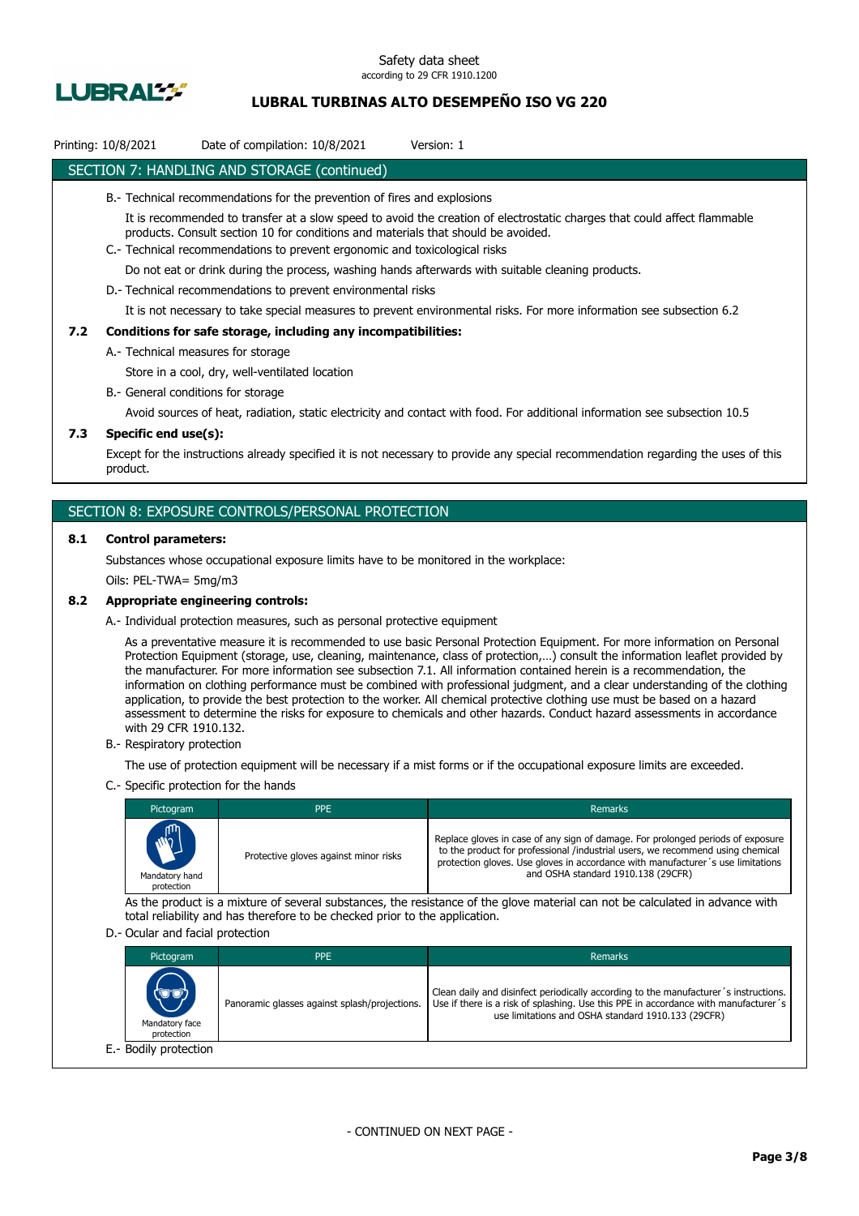

## **LUBRAL TURBINAS ALTO DESEMPEÑO ISO VG 220**

## Printing: 10/8/2021 Date of compilation: 10/8/2021 Version: 1

## SECTION 7: HANDLING AND STORAGE (continued)

- B.- Technical recommendations for the prevention of fires and explosions
	- It is recommended to transfer at a slow speed to avoid the creation of electrostatic charges that could affect flammable products. Consult section 10 for conditions and materials that should be avoided.
- C.- Technical recommendations to prevent ergonomic and toxicological risks

Do not eat or drink during the process, washing hands afterwards with suitable cleaning products.

D.- Technical recommendations to prevent environmental risks

It is not necessary to take special measures to prevent environmental risks. For more information see subsection 6.2

### **7.2 Conditions for safe storage, including any incompatibilities:**

A.- Technical measures for storage

Store in a cool, dry, well-ventilated location

B.- General conditions for storage

Avoid sources of heat, radiation, static electricity and contact with food. For additional information see subsection 10.5

## **7.3 Specific end use(s):**

Except for the instructions already specified it is not necessary to provide any special recommendation regarding the uses of this product.

### SECTION 8: EXPOSURE CONTROLS/PERSONAL PROTECTION

### **8.1 Control parameters:**

Substances whose occupational exposure limits have to be monitored in the workplace:

Oils: PEL-TWA= 5mg/m3

### **8.2 Appropriate engineering controls:**

A.- Individual protection measures, such as personal protective equipment

As a preventative measure it is recommended to use basic Personal Protection Equipment. For more information on Personal Protection Equipment (storage, use, cleaning, maintenance, class of protection,…) consult the information leaflet provided by the manufacturer. For more information see subsection 7.1. All information contained herein is a recommendation, the information on clothing performance must be combined with professional judgment, and a clear understanding of the clothing application, to provide the best protection to the worker. All chemical protective clothing use must be based on a hazard assessment to determine the risks for exposure to chemicals and other hazards. Conduct hazard assessments in accordance with 29 CFR 1910.132.

B.- Respiratory protection

The use of protection equipment will be necessary if a mist forms or if the occupational exposure limits are exceeded.

C.- Specific protection for the hands

| Pictogram                            | <b>PPE</b>                            | Remarks                                                                                                                                                                                                                                                                                    |
|--------------------------------------|---------------------------------------|--------------------------------------------------------------------------------------------------------------------------------------------------------------------------------------------------------------------------------------------------------------------------------------------|
| MAIL<br>Mandatory hand<br>protection | Protective gloves against minor risks | Replace gloves in case of any sign of damage. For prolonged periods of exposure<br>to the product for professional /industrial users, we recommend using chemical<br>protection gloves. Use gloves in accordance with manufacturer's use limitations<br>and OSHA standard 1910.138 (29CFR) |

As the product is a mixture of several substances, the resistance of the glove material can not be calculated in advance with total reliability and has therefore to be checked prior to the application.

#### D.- Ocular and facial protection

| Pictogram                            | <b>PPE</b>                                    | Remarks                                                                                                                                                                                                                           |
|--------------------------------------|-----------------------------------------------|-----------------------------------------------------------------------------------------------------------------------------------------------------------------------------------------------------------------------------------|
| (UU)<br>Mandatory face<br>protection | Panoramic glasses against splash/projections. | Clean daily and disinfect periodically according to the manufacturer's instructions.<br>Use if there is a risk of splashing. Use this PPE in accordance with manufacturer's<br>use limitations and OSHA standard 1910.133 (29CFR) |
| E.- Bodily protection                |                                               |                                                                                                                                                                                                                                   |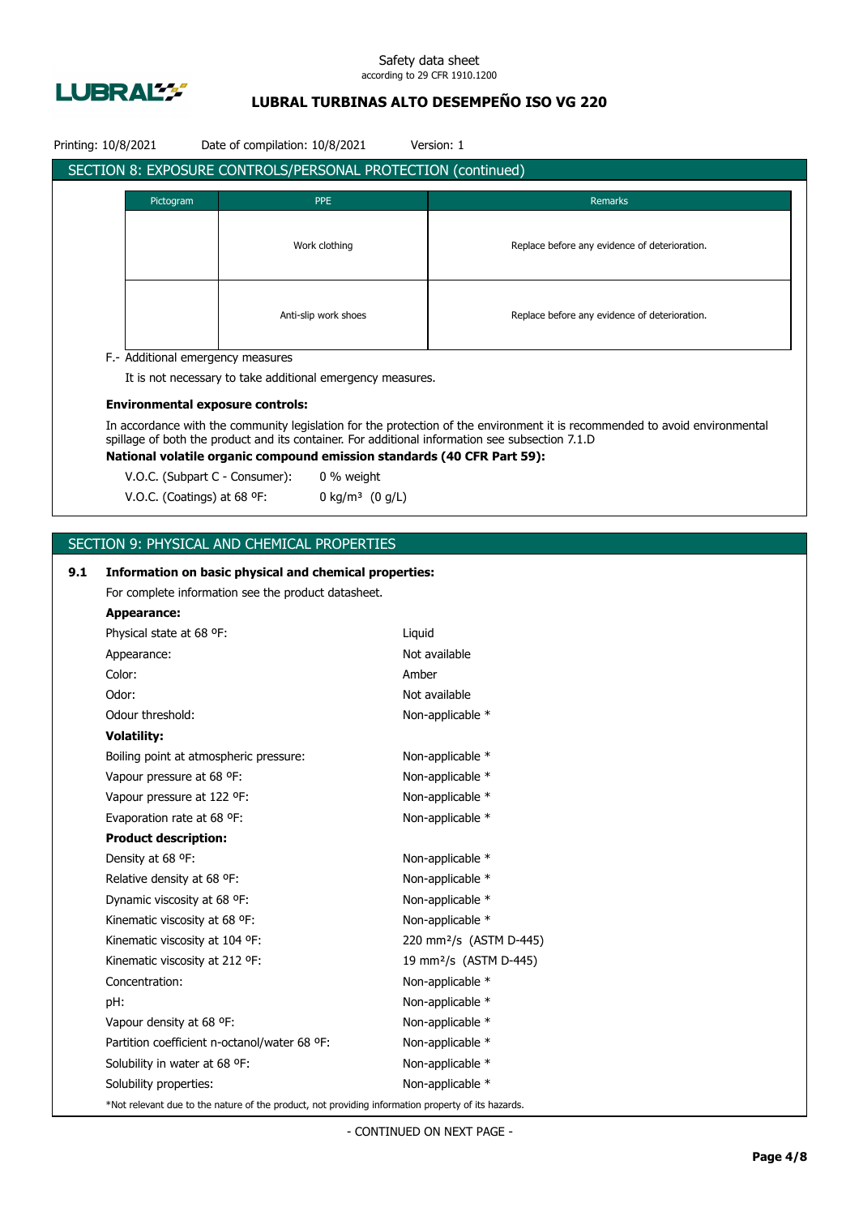

## **LUBRAL TURBINAS ALTO DESEMPEÑO ISO VG 220**

| SECTION 8: EXPOSURE CONTROLS/PERSONAL PROTECTION (continued)<br>Pictogram<br><b>PPE</b><br>Remarks<br>Work clothing<br>Replace before any evidence of deterioration.<br>Anti-slip work shoes<br>Replace before any evidence of deterioration.<br>F.- Additional emergency measures<br>It is not necessary to take additional emergency measures.<br><b>Environmental exposure controls:</b><br>In accordance with the community legislation for the protection of the environment it is recommended to avoid environmental<br>spillage of both the product and its container. For additional information see subsection 7.1.D<br>National volatile organic compound emission standards (40 CFR Part 59):<br>V.O.C. (Subpart C - Consumer):<br>0 % weight<br>V.O.C. (Coatings) at 68 °F:<br>0 kg/m <sup>3</sup> $(0 g/L)$<br>SECTION 9: PHYSICAL AND CHEMICAL PROPERTIES<br>9.1<br>Information on basic physical and chemical properties:<br>For complete information see the product datasheet.<br><b>Appearance:</b><br>Physical state at 68 °F:<br>Liquid<br>Not available<br>Appearance:<br>Color:<br>Amber<br>Odor:<br>Not available<br>Odour threshold:<br>Non-applicable *<br><b>Volatility:</b><br>Boiling point at atmospheric pressure:<br>Non-applicable *<br>Vapour pressure at 68 °F:<br>Non-applicable *<br>Non-applicable *<br>Vapour pressure at 122 °F:<br>Evaporation rate at 68 °F:<br>Non-applicable *<br><b>Product description:</b><br>Density at 68 °F:<br>Non-applicable *<br>Relative density at 68 °F:<br>Non-applicable *<br>Dynamic viscosity at 68 °F:<br>Non-applicable *<br>Kinematic viscosity at 68 °F:<br>Non-applicable *<br>Kinematic viscosity at 104 °F:<br>220 mm <sup>2</sup> /s (ASTM D-445)<br>19 mm <sup>2</sup> /s (ASTM D-445)<br>Kinematic viscosity at 212 °F:<br>Concentration:<br>Non-applicable *<br>Non-applicable *<br>pH:<br>Non-applicable *<br>Vapour density at 68 °F:<br>Partition coefficient n-octanol/water 68 °F:<br>Non-applicable *<br>Solubility in water at 68 °F:<br>Non-applicable *<br>Non-applicable *<br>Solubility properties:<br>*Not relevant due to the nature of the product, not providing information property of its hazards. | Printing: 10/8/2021 |  | Date of compilation: 10/8/2021 | Version: 1 |
|------------------------------------------------------------------------------------------------------------------------------------------------------------------------------------------------------------------------------------------------------------------------------------------------------------------------------------------------------------------------------------------------------------------------------------------------------------------------------------------------------------------------------------------------------------------------------------------------------------------------------------------------------------------------------------------------------------------------------------------------------------------------------------------------------------------------------------------------------------------------------------------------------------------------------------------------------------------------------------------------------------------------------------------------------------------------------------------------------------------------------------------------------------------------------------------------------------------------------------------------------------------------------------------------------------------------------------------------------------------------------------------------------------------------------------------------------------------------------------------------------------------------------------------------------------------------------------------------------------------------------------------------------------------------------------------------------------------------------------------------------------------------------------------------------------------------------------------------------------------------------------------------------------------------------------------------------------------------------------------------------------------------------------------------------------------------------------------------------------------------------------------------------------------------------------------------------------|---------------------|--|--------------------------------|------------|
|                                                                                                                                                                                                                                                                                                                                                                                                                                                                                                                                                                                                                                                                                                                                                                                                                                                                                                                                                                                                                                                                                                                                                                                                                                                                                                                                                                                                                                                                                                                                                                                                                                                                                                                                                                                                                                                                                                                                                                                                                                                                                                                                                                                                            |                     |  |                                |            |
|                                                                                                                                                                                                                                                                                                                                                                                                                                                                                                                                                                                                                                                                                                                                                                                                                                                                                                                                                                                                                                                                                                                                                                                                                                                                                                                                                                                                                                                                                                                                                                                                                                                                                                                                                                                                                                                                                                                                                                                                                                                                                                                                                                                                            |                     |  |                                |            |
|                                                                                                                                                                                                                                                                                                                                                                                                                                                                                                                                                                                                                                                                                                                                                                                                                                                                                                                                                                                                                                                                                                                                                                                                                                                                                                                                                                                                                                                                                                                                                                                                                                                                                                                                                                                                                                                                                                                                                                                                                                                                                                                                                                                                            |                     |  |                                |            |
|                                                                                                                                                                                                                                                                                                                                                                                                                                                                                                                                                                                                                                                                                                                                                                                                                                                                                                                                                                                                                                                                                                                                                                                                                                                                                                                                                                                                                                                                                                                                                                                                                                                                                                                                                                                                                                                                                                                                                                                                                                                                                                                                                                                                            |                     |  |                                |            |
|                                                                                                                                                                                                                                                                                                                                                                                                                                                                                                                                                                                                                                                                                                                                                                                                                                                                                                                                                                                                                                                                                                                                                                                                                                                                                                                                                                                                                                                                                                                                                                                                                                                                                                                                                                                                                                                                                                                                                                                                                                                                                                                                                                                                            |                     |  |                                |            |
|                                                                                                                                                                                                                                                                                                                                                                                                                                                                                                                                                                                                                                                                                                                                                                                                                                                                                                                                                                                                                                                                                                                                                                                                                                                                                                                                                                                                                                                                                                                                                                                                                                                                                                                                                                                                                                                                                                                                                                                                                                                                                                                                                                                                            |                     |  |                                |            |
|                                                                                                                                                                                                                                                                                                                                                                                                                                                                                                                                                                                                                                                                                                                                                                                                                                                                                                                                                                                                                                                                                                                                                                                                                                                                                                                                                                                                                                                                                                                                                                                                                                                                                                                                                                                                                                                                                                                                                                                                                                                                                                                                                                                                            |                     |  |                                |            |
|                                                                                                                                                                                                                                                                                                                                                                                                                                                                                                                                                                                                                                                                                                                                                                                                                                                                                                                                                                                                                                                                                                                                                                                                                                                                                                                                                                                                                                                                                                                                                                                                                                                                                                                                                                                                                                                                                                                                                                                                                                                                                                                                                                                                            |                     |  |                                |            |
|                                                                                                                                                                                                                                                                                                                                                                                                                                                                                                                                                                                                                                                                                                                                                                                                                                                                                                                                                                                                                                                                                                                                                                                                                                                                                                                                                                                                                                                                                                                                                                                                                                                                                                                                                                                                                                                                                                                                                                                                                                                                                                                                                                                                            |                     |  |                                |            |
|                                                                                                                                                                                                                                                                                                                                                                                                                                                                                                                                                                                                                                                                                                                                                                                                                                                                                                                                                                                                                                                                                                                                                                                                                                                                                                                                                                                                                                                                                                                                                                                                                                                                                                                                                                                                                                                                                                                                                                                                                                                                                                                                                                                                            |                     |  |                                |            |
|                                                                                                                                                                                                                                                                                                                                                                                                                                                                                                                                                                                                                                                                                                                                                                                                                                                                                                                                                                                                                                                                                                                                                                                                                                                                                                                                                                                                                                                                                                                                                                                                                                                                                                                                                                                                                                                                                                                                                                                                                                                                                                                                                                                                            |                     |  |                                |            |
|                                                                                                                                                                                                                                                                                                                                                                                                                                                                                                                                                                                                                                                                                                                                                                                                                                                                                                                                                                                                                                                                                                                                                                                                                                                                                                                                                                                                                                                                                                                                                                                                                                                                                                                                                                                                                                                                                                                                                                                                                                                                                                                                                                                                            |                     |  |                                |            |
|                                                                                                                                                                                                                                                                                                                                                                                                                                                                                                                                                                                                                                                                                                                                                                                                                                                                                                                                                                                                                                                                                                                                                                                                                                                                                                                                                                                                                                                                                                                                                                                                                                                                                                                                                                                                                                                                                                                                                                                                                                                                                                                                                                                                            |                     |  |                                |            |
|                                                                                                                                                                                                                                                                                                                                                                                                                                                                                                                                                                                                                                                                                                                                                                                                                                                                                                                                                                                                                                                                                                                                                                                                                                                                                                                                                                                                                                                                                                                                                                                                                                                                                                                                                                                                                                                                                                                                                                                                                                                                                                                                                                                                            |                     |  |                                |            |
|                                                                                                                                                                                                                                                                                                                                                                                                                                                                                                                                                                                                                                                                                                                                                                                                                                                                                                                                                                                                                                                                                                                                                                                                                                                                                                                                                                                                                                                                                                                                                                                                                                                                                                                                                                                                                                                                                                                                                                                                                                                                                                                                                                                                            |                     |  |                                |            |
|                                                                                                                                                                                                                                                                                                                                                                                                                                                                                                                                                                                                                                                                                                                                                                                                                                                                                                                                                                                                                                                                                                                                                                                                                                                                                                                                                                                                                                                                                                                                                                                                                                                                                                                                                                                                                                                                                                                                                                                                                                                                                                                                                                                                            |                     |  |                                |            |
|                                                                                                                                                                                                                                                                                                                                                                                                                                                                                                                                                                                                                                                                                                                                                                                                                                                                                                                                                                                                                                                                                                                                                                                                                                                                                                                                                                                                                                                                                                                                                                                                                                                                                                                                                                                                                                                                                                                                                                                                                                                                                                                                                                                                            |                     |  |                                |            |
|                                                                                                                                                                                                                                                                                                                                                                                                                                                                                                                                                                                                                                                                                                                                                                                                                                                                                                                                                                                                                                                                                                                                                                                                                                                                                                                                                                                                                                                                                                                                                                                                                                                                                                                                                                                                                                                                                                                                                                                                                                                                                                                                                                                                            |                     |  |                                |            |
|                                                                                                                                                                                                                                                                                                                                                                                                                                                                                                                                                                                                                                                                                                                                                                                                                                                                                                                                                                                                                                                                                                                                                                                                                                                                                                                                                                                                                                                                                                                                                                                                                                                                                                                                                                                                                                                                                                                                                                                                                                                                                                                                                                                                            |                     |  |                                |            |
|                                                                                                                                                                                                                                                                                                                                                                                                                                                                                                                                                                                                                                                                                                                                                                                                                                                                                                                                                                                                                                                                                                                                                                                                                                                                                                                                                                                                                                                                                                                                                                                                                                                                                                                                                                                                                                                                                                                                                                                                                                                                                                                                                                                                            |                     |  |                                |            |
|                                                                                                                                                                                                                                                                                                                                                                                                                                                                                                                                                                                                                                                                                                                                                                                                                                                                                                                                                                                                                                                                                                                                                                                                                                                                                                                                                                                                                                                                                                                                                                                                                                                                                                                                                                                                                                                                                                                                                                                                                                                                                                                                                                                                            |                     |  |                                |            |
|                                                                                                                                                                                                                                                                                                                                                                                                                                                                                                                                                                                                                                                                                                                                                                                                                                                                                                                                                                                                                                                                                                                                                                                                                                                                                                                                                                                                                                                                                                                                                                                                                                                                                                                                                                                                                                                                                                                                                                                                                                                                                                                                                                                                            |                     |  |                                |            |
|                                                                                                                                                                                                                                                                                                                                                                                                                                                                                                                                                                                                                                                                                                                                                                                                                                                                                                                                                                                                                                                                                                                                                                                                                                                                                                                                                                                                                                                                                                                                                                                                                                                                                                                                                                                                                                                                                                                                                                                                                                                                                                                                                                                                            |                     |  |                                |            |
|                                                                                                                                                                                                                                                                                                                                                                                                                                                                                                                                                                                                                                                                                                                                                                                                                                                                                                                                                                                                                                                                                                                                                                                                                                                                                                                                                                                                                                                                                                                                                                                                                                                                                                                                                                                                                                                                                                                                                                                                                                                                                                                                                                                                            |                     |  |                                |            |
|                                                                                                                                                                                                                                                                                                                                                                                                                                                                                                                                                                                                                                                                                                                                                                                                                                                                                                                                                                                                                                                                                                                                                                                                                                                                                                                                                                                                                                                                                                                                                                                                                                                                                                                                                                                                                                                                                                                                                                                                                                                                                                                                                                                                            |                     |  |                                |            |
|                                                                                                                                                                                                                                                                                                                                                                                                                                                                                                                                                                                                                                                                                                                                                                                                                                                                                                                                                                                                                                                                                                                                                                                                                                                                                                                                                                                                                                                                                                                                                                                                                                                                                                                                                                                                                                                                                                                                                                                                                                                                                                                                                                                                            |                     |  |                                |            |
|                                                                                                                                                                                                                                                                                                                                                                                                                                                                                                                                                                                                                                                                                                                                                                                                                                                                                                                                                                                                                                                                                                                                                                                                                                                                                                                                                                                                                                                                                                                                                                                                                                                                                                                                                                                                                                                                                                                                                                                                                                                                                                                                                                                                            |                     |  |                                |            |
|                                                                                                                                                                                                                                                                                                                                                                                                                                                                                                                                                                                                                                                                                                                                                                                                                                                                                                                                                                                                                                                                                                                                                                                                                                                                                                                                                                                                                                                                                                                                                                                                                                                                                                                                                                                                                                                                                                                                                                                                                                                                                                                                                                                                            |                     |  |                                |            |
|                                                                                                                                                                                                                                                                                                                                                                                                                                                                                                                                                                                                                                                                                                                                                                                                                                                                                                                                                                                                                                                                                                                                                                                                                                                                                                                                                                                                                                                                                                                                                                                                                                                                                                                                                                                                                                                                                                                                                                                                                                                                                                                                                                                                            |                     |  |                                |            |
|                                                                                                                                                                                                                                                                                                                                                                                                                                                                                                                                                                                                                                                                                                                                                                                                                                                                                                                                                                                                                                                                                                                                                                                                                                                                                                                                                                                                                                                                                                                                                                                                                                                                                                                                                                                                                                                                                                                                                                                                                                                                                                                                                                                                            |                     |  |                                |            |
|                                                                                                                                                                                                                                                                                                                                                                                                                                                                                                                                                                                                                                                                                                                                                                                                                                                                                                                                                                                                                                                                                                                                                                                                                                                                                                                                                                                                                                                                                                                                                                                                                                                                                                                                                                                                                                                                                                                                                                                                                                                                                                                                                                                                            |                     |  |                                |            |
|                                                                                                                                                                                                                                                                                                                                                                                                                                                                                                                                                                                                                                                                                                                                                                                                                                                                                                                                                                                                                                                                                                                                                                                                                                                                                                                                                                                                                                                                                                                                                                                                                                                                                                                                                                                                                                                                                                                                                                                                                                                                                                                                                                                                            |                     |  |                                |            |
|                                                                                                                                                                                                                                                                                                                                                                                                                                                                                                                                                                                                                                                                                                                                                                                                                                                                                                                                                                                                                                                                                                                                                                                                                                                                                                                                                                                                                                                                                                                                                                                                                                                                                                                                                                                                                                                                                                                                                                                                                                                                                                                                                                                                            |                     |  |                                |            |
|                                                                                                                                                                                                                                                                                                                                                                                                                                                                                                                                                                                                                                                                                                                                                                                                                                                                                                                                                                                                                                                                                                                                                                                                                                                                                                                                                                                                                                                                                                                                                                                                                                                                                                                                                                                                                                                                                                                                                                                                                                                                                                                                                                                                            |                     |  |                                |            |
|                                                                                                                                                                                                                                                                                                                                                                                                                                                                                                                                                                                                                                                                                                                                                                                                                                                                                                                                                                                                                                                                                                                                                                                                                                                                                                                                                                                                                                                                                                                                                                                                                                                                                                                                                                                                                                                                                                                                                                                                                                                                                                                                                                                                            |                     |  |                                |            |
|                                                                                                                                                                                                                                                                                                                                                                                                                                                                                                                                                                                                                                                                                                                                                                                                                                                                                                                                                                                                                                                                                                                                                                                                                                                                                                                                                                                                                                                                                                                                                                                                                                                                                                                                                                                                                                                                                                                                                                                                                                                                                                                                                                                                            |                     |  |                                |            |
|                                                                                                                                                                                                                                                                                                                                                                                                                                                                                                                                                                                                                                                                                                                                                                                                                                                                                                                                                                                                                                                                                                                                                                                                                                                                                                                                                                                                                                                                                                                                                                                                                                                                                                                                                                                                                                                                                                                                                                                                                                                                                                                                                                                                            |                     |  |                                |            |
|                                                                                                                                                                                                                                                                                                                                                                                                                                                                                                                                                                                                                                                                                                                                                                                                                                                                                                                                                                                                                                                                                                                                                                                                                                                                                                                                                                                                                                                                                                                                                                                                                                                                                                                                                                                                                                                                                                                                                                                                                                                                                                                                                                                                            |                     |  |                                |            |
|                                                                                                                                                                                                                                                                                                                                                                                                                                                                                                                                                                                                                                                                                                                                                                                                                                                                                                                                                                                                                                                                                                                                                                                                                                                                                                                                                                                                                                                                                                                                                                                                                                                                                                                                                                                                                                                                                                                                                                                                                                                                                                                                                                                                            |                     |  |                                |            |
|                                                                                                                                                                                                                                                                                                                                                                                                                                                                                                                                                                                                                                                                                                                                                                                                                                                                                                                                                                                                                                                                                                                                                                                                                                                                                                                                                                                                                                                                                                                                                                                                                                                                                                                                                                                                                                                                                                                                                                                                                                                                                                                                                                                                            |                     |  |                                |            |
|                                                                                                                                                                                                                                                                                                                                                                                                                                                                                                                                                                                                                                                                                                                                                                                                                                                                                                                                                                                                                                                                                                                                                                                                                                                                                                                                                                                                                                                                                                                                                                                                                                                                                                                                                                                                                                                                                                                                                                                                                                                                                                                                                                                                            |                     |  |                                |            |
|                                                                                                                                                                                                                                                                                                                                                                                                                                                                                                                                                                                                                                                                                                                                                                                                                                                                                                                                                                                                                                                                                                                                                                                                                                                                                                                                                                                                                                                                                                                                                                                                                                                                                                                                                                                                                                                                                                                                                                                                                                                                                                                                                                                                            |                     |  |                                |            |
|                                                                                                                                                                                                                                                                                                                                                                                                                                                                                                                                                                                                                                                                                                                                                                                                                                                                                                                                                                                                                                                                                                                                                                                                                                                                                                                                                                                                                                                                                                                                                                                                                                                                                                                                                                                                                                                                                                                                                                                                                                                                                                                                                                                                            |                     |  |                                |            |
|                                                                                                                                                                                                                                                                                                                                                                                                                                                                                                                                                                                                                                                                                                                                                                                                                                                                                                                                                                                                                                                                                                                                                                                                                                                                                                                                                                                                                                                                                                                                                                                                                                                                                                                                                                                                                                                                                                                                                                                                                                                                                                                                                                                                            |                     |  |                                |            |
|                                                                                                                                                                                                                                                                                                                                                                                                                                                                                                                                                                                                                                                                                                                                                                                                                                                                                                                                                                                                                                                                                                                                                                                                                                                                                                                                                                                                                                                                                                                                                                                                                                                                                                                                                                                                                                                                                                                                                                                                                                                                                                                                                                                                            |                     |  |                                |            |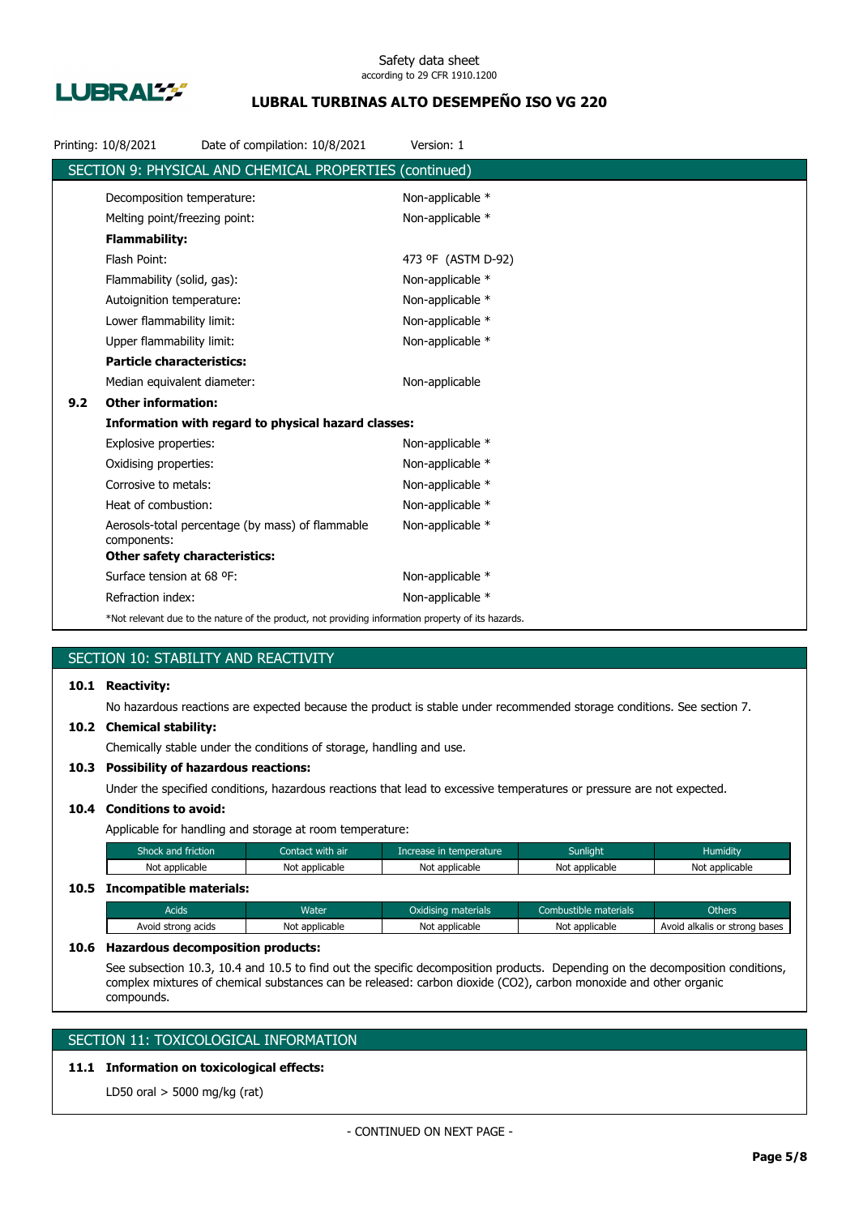

## **LUBRAL TURBINAS ALTO DESEMPEÑO ISO VG 220**

|     | Printing: 10/8/2021                  | Date of compilation: 10/8/2021                                                                     | Version: 1         |
|-----|--------------------------------------|----------------------------------------------------------------------------------------------------|--------------------|
|     |                                      | SECTION 9: PHYSICAL AND CHEMICAL PROPERTIES (continued)                                            |                    |
|     | Decomposition temperature:           |                                                                                                    | Non-applicable *   |
|     | Melting point/freezing point:        |                                                                                                    | Non-applicable *   |
|     | <b>Flammability:</b>                 |                                                                                                    |                    |
|     | Flash Point:                         |                                                                                                    | 473 °F (ASTM D-92) |
|     | Flammability (solid, gas):           |                                                                                                    | Non-applicable *   |
|     | Autoignition temperature:            |                                                                                                    | Non-applicable *   |
|     | Lower flammability limit:            |                                                                                                    | Non-applicable *   |
|     | Upper flammability limit:            |                                                                                                    | Non-applicable *   |
|     | <b>Particle characteristics:</b>     |                                                                                                    |                    |
|     | Median equivalent diameter:          |                                                                                                    | Non-applicable     |
| 9.2 | <b>Other information:</b>            |                                                                                                    |                    |
|     |                                      | Information with regard to physical hazard classes:                                                |                    |
|     | Explosive properties:                |                                                                                                    | Non-applicable *   |
|     | Oxidising properties:                |                                                                                                    | Non-applicable *   |
|     | Corrosive to metals:                 |                                                                                                    | Non-applicable *   |
|     | Heat of combustion:                  |                                                                                                    | Non-applicable *   |
|     | components:                          | Aerosols-total percentage (by mass) of flammable                                                   | Non-applicable *   |
|     | <b>Other safety characteristics:</b> |                                                                                                    |                    |
|     | Surface tension at 68 °F:            |                                                                                                    | Non-applicable *   |
|     | Refraction index:                    |                                                                                                    | Non-applicable *   |
|     |                                      | *Not relevant due to the nature of the product, not providing information property of its hazards. |                    |

## SECTION 10: STABILITY AND REACTIVITY

## **10.1 Reactivity:**

No hazardous reactions are expected because the product is stable under recommended storage conditions. See section 7.

### **10.2 Chemical stability:**

Chemically stable under the conditions of storage, handling and use.

## **10.3 Possibility of hazardous reactions:**

Under the specified conditions, hazardous reactions that lead to excessive temperatures or pressure are not expected.

## **10.4 Conditions to avoid:**

Applicable for handling and storage at room temperature:

| Shock and friction           | Contact with air | Increase in temperature | <b>Sunlight</b> | <b>Humidity</b> |
|------------------------------|------------------|-------------------------|-----------------|-----------------|
| Not applicable               | Not applicable   | Not applicable          | Not applicable  | Not applicable  |
| 10.5 Incompatible materials: |                  |                         |                 |                 |

## Acids **Water Water Combustible materials** Combustible materials Combustible materials Combustible materials Avoid strong acids Not applicable Not applicable Not applicable Not applicable Avoid alkalis or strong bases

### **10.6 Hazardous decomposition products:**

See subsection 10.3, 10.4 and 10.5 to find out the specific decomposition products. Depending on the decomposition conditions, complex mixtures of chemical substances can be released: carbon dioxide (CO2), carbon monoxide and other organic compounds.

## SECTION 11: TOXICOLOGICAL INFORMATION

## **11.1 Information on toxicological effects:**

LD50 oral > 5000 mg/kg (rat)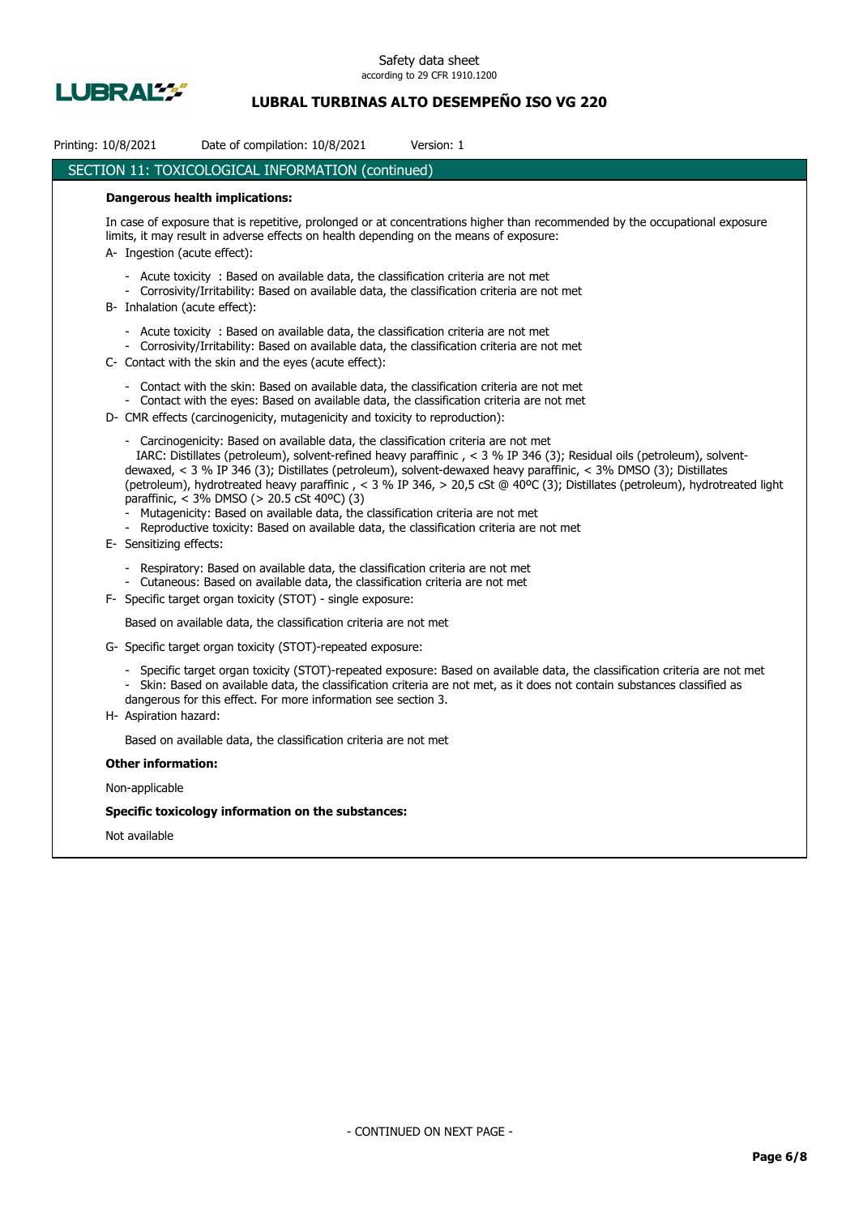

## **LUBRAL TURBINAS ALTO DESEMPEÑO ISO VG 220**

| Printing: 10/8/2021<br>Date of compilation: 10/8/2021<br>Version: 1                                                                                                                                                                                                                                                                                                                                                                                                                                                                                                                                                                                                                                                        |  |  |  |  |  |  |
|----------------------------------------------------------------------------------------------------------------------------------------------------------------------------------------------------------------------------------------------------------------------------------------------------------------------------------------------------------------------------------------------------------------------------------------------------------------------------------------------------------------------------------------------------------------------------------------------------------------------------------------------------------------------------------------------------------------------------|--|--|--|--|--|--|
| SECTION 11: TOXICOLOGICAL INFORMATION (continued)                                                                                                                                                                                                                                                                                                                                                                                                                                                                                                                                                                                                                                                                          |  |  |  |  |  |  |
| <b>Dangerous health implications:</b>                                                                                                                                                                                                                                                                                                                                                                                                                                                                                                                                                                                                                                                                                      |  |  |  |  |  |  |
| In case of exposure that is repetitive, prolonged or at concentrations higher than recommended by the occupational exposure<br>limits, it may result in adverse effects on health depending on the means of exposure:<br>A- Ingestion (acute effect):                                                                                                                                                                                                                                                                                                                                                                                                                                                                      |  |  |  |  |  |  |
| - Acute toxicity : Based on available data, the classification criteria are not met<br>- Corrosivity/Irritability: Based on available data, the classification criteria are not met<br>B- Inhalation (acute effect):                                                                                                                                                                                                                                                                                                                                                                                                                                                                                                       |  |  |  |  |  |  |
| - Acute toxicity : Based on available data, the classification criteria are not met<br>- Corrosivity/Irritability: Based on available data, the classification criteria are not met<br>C- Contact with the skin and the eyes (acute effect):                                                                                                                                                                                                                                                                                                                                                                                                                                                                               |  |  |  |  |  |  |
| - Contact with the skin: Based on available data, the classification criteria are not met<br>- Contact with the eyes: Based on available data, the classification criteria are not met<br>D- CMR effects (carcinogenicity, mutagenicity and toxicity to reproduction):                                                                                                                                                                                                                                                                                                                                                                                                                                                     |  |  |  |  |  |  |
| - Carcinogenicity: Based on available data, the classification criteria are not met<br>IARC: Distillates (petroleum), solvent-refined heavy paraffinic, < 3 % IP 346 (3); Residual oils (petroleum), solvent-<br>dewaxed, < 3 % IP 346 (3); Distillates (petroleum), solvent-dewaxed heavy paraffinic, < 3% DMSO (3); Distillates<br>(petroleum), hydrotreated heavy paraffinic, < 3 % IP 346, > 20,5 cSt @ 40°C (3); Distillates (petroleum), hydrotreated light<br>paraffinic, < 3% DMSO (> 20.5 cSt 40°C) (3)<br>Mutagenicity: Based on available data, the classification criteria are not met<br>- Reproductive toxicity: Based on available data, the classification criteria are not met<br>E- Sensitizing effects: |  |  |  |  |  |  |
| - Respiratory: Based on available data, the classification criteria are not met<br>- Cutaneous: Based on available data, the classification criteria are not met<br>F- Specific target organ toxicity (STOT) - single exposure:                                                                                                                                                                                                                                                                                                                                                                                                                                                                                            |  |  |  |  |  |  |
| Based on available data, the classification criteria are not met                                                                                                                                                                                                                                                                                                                                                                                                                                                                                                                                                                                                                                                           |  |  |  |  |  |  |
| G- Specific target organ toxicity (STOT)-repeated exposure:                                                                                                                                                                                                                                                                                                                                                                                                                                                                                                                                                                                                                                                                |  |  |  |  |  |  |
| - Specific target organ toxicity (STOT)-repeated exposure: Based on available data, the classification criteria are not met<br>- Skin: Based on available data, the classification criteria are not met, as it does not contain substances classified as<br>dangerous for this effect. For more information see section 3.<br>H- Aspiration hazard:                                                                                                                                                                                                                                                                                                                                                                        |  |  |  |  |  |  |
| Based on available data, the classification criteria are not met                                                                                                                                                                                                                                                                                                                                                                                                                                                                                                                                                                                                                                                           |  |  |  |  |  |  |
| <b>Other information:</b>                                                                                                                                                                                                                                                                                                                                                                                                                                                                                                                                                                                                                                                                                                  |  |  |  |  |  |  |
| Non-applicable                                                                                                                                                                                                                                                                                                                                                                                                                                                                                                                                                                                                                                                                                                             |  |  |  |  |  |  |
| Specific toxicology information on the substances:                                                                                                                                                                                                                                                                                                                                                                                                                                                                                                                                                                                                                                                                         |  |  |  |  |  |  |

Not available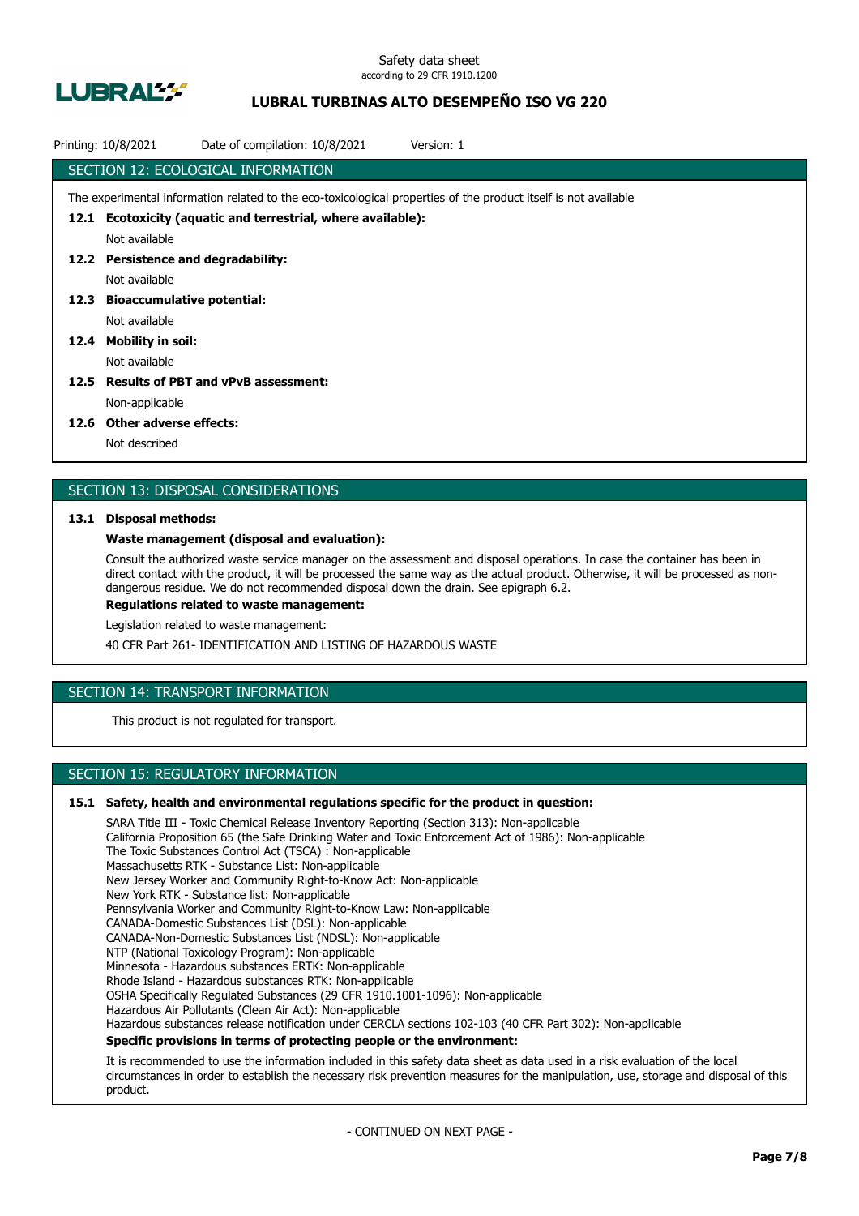

## **LUBRAL TURBINAS ALTO DESEMPEÑO ISO VG 220**

|      | Date of compilation: 10/8/2021<br>Printing: 10/8/2021<br>Version: 1                                             |  |
|------|-----------------------------------------------------------------------------------------------------------------|--|
|      | SECTION 12: ECOLOGICAL INFORMATION                                                                              |  |
|      | The experimental information related to the eco-toxicological properties of the product itself is not available |  |
| 12.1 | Ecotoxicity (aquatic and terrestrial, where available):                                                         |  |
|      | Not available                                                                                                   |  |
| 12.2 | <b>Persistence and degradability:</b>                                                                           |  |
|      | Not available                                                                                                   |  |
| 12.3 | <b>Bioaccumulative potential:</b>                                                                               |  |
|      | Not available                                                                                                   |  |
| 12.4 | <b>Mobility in soil:</b>                                                                                        |  |
|      | Not available                                                                                                   |  |
| 12.5 | <b>Results of PBT and vPvB assessment:</b>                                                                      |  |
|      | Non-applicable                                                                                                  |  |
|      |                                                                                                                 |  |

### **12.6 Other adverse effects:**

Not described

## SECTION 13: DISPOSAL CONSIDERATIONS

### **13.1 Disposal methods:**

## **Waste management (disposal and evaluation):**

Consult the authorized waste service manager on the assessment and disposal operations. In case the container has been in direct contact with the product, it will be processed the same way as the actual product. Otherwise, it will be processed as nondangerous residue. We do not recommended disposal down the drain. See epigraph 6.2.

**Regulations related to waste management:**

Legislation related to waste management:

40 CFR Part 261- IDENTIFICATION AND LISTING OF HAZARDOUS WASTE

## SECTION 14: TRANSPORT INFORMATION

This product is not regulated for transport.

## SECTION 15: REGULATORY INFORMATION

### **15.1 Safety, health and environmental regulations specific for the product in question:**

SARA Title III - Toxic Chemical Release Inventory Reporting (Section 313): Non-applicable California Proposition 65 (the Safe Drinking Water and Toxic Enforcement Act of 1986): Non-applicable The Toxic Substances Control Act (TSCA) : Non-applicable Massachusetts RTK - Substance List: Non-applicable New Jersey Worker and Community Right-to-Know Act: Non-applicable New York RTK - Substance list: Non-applicable Pennsylvania Worker and Community Right-to-Know Law: Non-applicable CANADA-Domestic Substances List (DSL): Non-applicable CANADA-Non-Domestic Substances List (NDSL): Non-applicable NTP (National Toxicology Program): Non-applicable Minnesota - Hazardous substances ERTK: Non-applicable Rhode Island - Hazardous substances RTK: Non-applicable OSHA Specifically Regulated Substances (29 CFR 1910.1001-1096): Non-applicable Hazardous Air Pollutants (Clean Air Act): Non-applicable Hazardous substances release notification under CERCLA sections 102-103 (40 CFR Part 302): Non-applicable **Specific provisions in terms of protecting people or the environment:**

It is recommended to use the information included in this safety data sheet as data used in a risk evaluation of the local circumstances in order to establish the necessary risk prevention measures for the manipulation, use, storage and disposal of this product.

- CONTINUED ON NEXT PAGE -